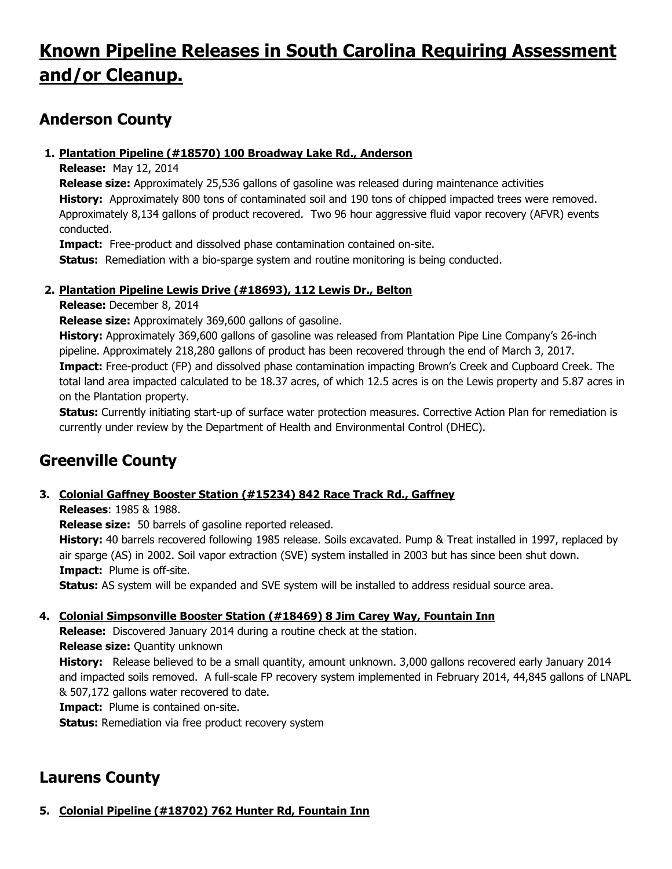# **Known Pipeline Releases in South Carolina Requiring Assessment and/or Cleanup.**

### **Anderson County**

#### **1. Plantation Pipeline (#18570) 100 Broadway Lake Rd., Anderson**

**Release:** May 12, 2014

**Release size:** Approximately 25,536 gallons of gasoline was released during maintenance activities **History:** Approximately 800 tons of contaminated soil and 190 tons of chipped impacted trees were removed. Approximately 8,134 gallons of product recovered. Two 96 hour aggressive fluid vapor recovery (AFVR) events conducted.

**Impact:** Free-product and dissolved phase contamination contained on-site.

**Status:** Remediation with a bio-sparge system and routine monitoring is being conducted.

### **2. Plantation Pipeline Lewis Drive (#18693), 112 Lewis Dr., Belton**

**Release:** December 8, 2014

**Release size:** Approximately 369,600 gallons of gasoline.

**History:** Approximately 369,600 gallons of gasoline was released from Plantation Pipe Line Company's 26-inch pipeline. Approximately 218,280 gallons of product has been recovered through the end of March 3, 2017. **Impact:** Free-product (FP) and dissolved phase contamination impacting Brown's Creek and Cupboard Creek. The total land area impacted calculated to be 18.37 acres, of which 12.5 acres is on the Lewis property and 5.87 acres in on the Plantation property.

**Status:** Currently initiating start-up of surface water protection measures. Corrective Action Plan for remediation is currently under review by the Department of Health and Environmental Control (DHEC).

# **Greenville County**

### **3. Colonial Gaffney Booster Station (#15234) 842 Race Track Rd., Gaffney**

**Releases**: 1985 & 1988.

**Release size:** 50 barrels of gasoline reported released.

**History:** 40 barrels recovered following 1985 release. Soils excavated. Pump & Treat installed in 1997, replaced by air sparge (AS) in 2002. Soil vapor extraction (SVE) system installed in 2003 but has since been shut down. **Impact:** Plume is off-site.

**Status:** AS system will be expanded and SVE system will be installed to address residual source area.

### **4. Colonial Simpsonville Booster Station (#18469) 8 Jim Carey Way, Fountain Inn**

**Release:** Discovered January 2014 during a routine check at the station.

**Release size:** Quantity unknown

**History:** Release believed to be a small quantity, amount unknown. 3,000 gallons recovered early January 2014 and impacted soils removed. A full-scale FP recovery system implemented in February 2014, 44,845 gallons of LNAPL & 507,172 gallons water recovered to date.

**Impact:** Plume is contained on-site.

**Status:** Remediation via free product recovery system

# **Laurens County**

### **5. Colonial Pipeline (#18702) 762 Hunter Rd, Fountain Inn**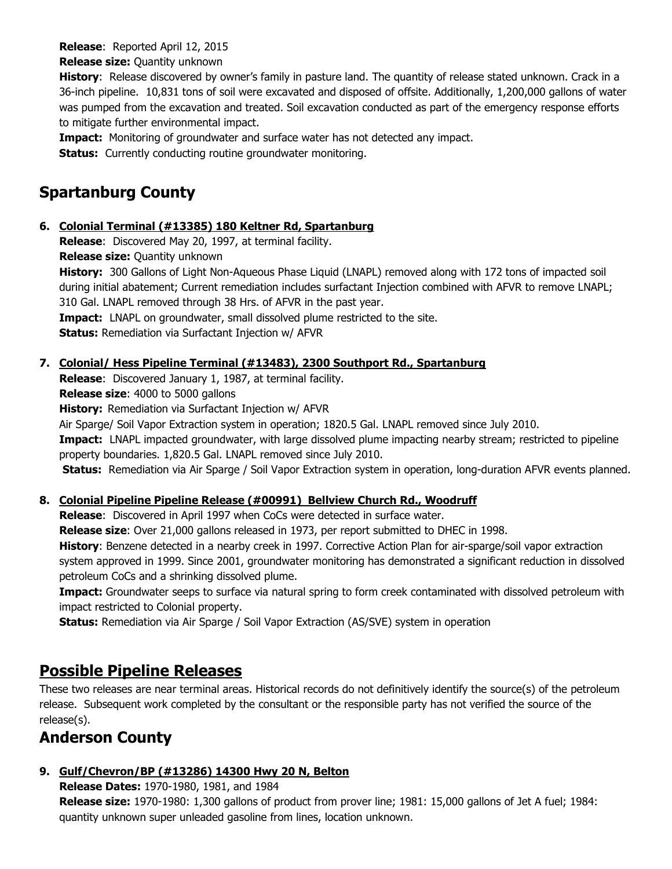#### **Release**: Reported April 12, 2015

**Release size:** Quantity unknown

**History**: Release discovered by owner's family in pasture land. The quantity of release stated unknown. Crack in a 36-inch pipeline. 10,831 tons of soil were excavated and disposed of offsite. Additionally, 1,200,000 gallons of water was pumped from the excavation and treated. Soil excavation conducted as part of the emergency response efforts to mitigate further environmental impact.

**Impact:** Monitoring of groundwater and surface water has not detected any impact.

**Status:** Currently conducting routine groundwater monitoring.

# **Spartanburg County**

#### **6. Colonial Terminal (#13385) 180 Keltner Rd, Spartanburg**

**Release**: Discovered May 20, 1997, at terminal facility.

**Release size:** Quantity unknown

**History:** 300 Gallons of Light Non-Aqueous Phase Liquid (LNAPL) removed along with 172 tons of impacted soil during initial abatement; Current remediation includes surfactant Injection combined with AFVR to remove LNAPL; 310 Gal. LNAPL removed through 38 Hrs. of AFVR in the past year.

**Impact:** LNAPL on groundwater, small dissolved plume restricted to the site.

**Status:** Remediation via Surfactant Injection w/ AFVR

### **7. Colonial/ Hess Pipeline Terminal (#13483), 2300 Southport Rd., Spartanburg**

**Release**: Discovered January 1, 1987, at terminal facility.

**Release size**: 4000 to 5000 gallons

**History:** Remediation via Surfactant Injection w/ AFVR

Air Sparge/ Soil Vapor Extraction system in operation; 1820.5 Gal. LNAPL removed since July 2010.

**Impact:** LNAPL impacted groundwater, with large dissolved plume impacting nearby stream; restricted to pipeline property boundaries. 1,820.5 Gal. LNAPL removed since July 2010.

**Status:** Remediation via Air Sparge / Soil Vapor Extraction system in operation, long-duration AFVR events planned.

### **8. Colonial Pipeline Pipeline Release (#00991) Bellview Church Rd., Woodruff**

**Release**: Discovered in April 1997 when CoCs were detected in surface water.

**Release size**: Over 21,000 gallons released in 1973, per report submitted to DHEC in 1998.

**History**: Benzene detected in a nearby creek in 1997. Corrective Action Plan for air-sparge/soil vapor extraction system approved in 1999. Since 2001, groundwater monitoring has demonstrated a significant reduction in dissolved petroleum CoCs and a shrinking dissolved plume.

**Impact:** Groundwater seeps to surface via natural spring to form creek contaminated with dissolved petroleum with impact restricted to Colonial property.

**Status:** Remediation via Air Sparge / Soil Vapor Extraction (AS/SVE) system in operation

### **Possible Pipeline Releases**

These two releases are near terminal areas. Historical records do not definitively identify the source(s) of the petroleum release. Subsequent work completed by the consultant or the responsible party has not verified the source of the release(s).

### **Anderson County**

### **9. Gulf/Chevron/BP (#13286) 14300 Hwy 20 N, Belton**

**Release Dates:** 1970-1980, 1981, and 1984

**Release size:** 1970-1980: 1,300 gallons of product from prover line; 1981: 15,000 gallons of Jet A fuel; 1984: quantity unknown super unleaded gasoline from lines, location unknown.